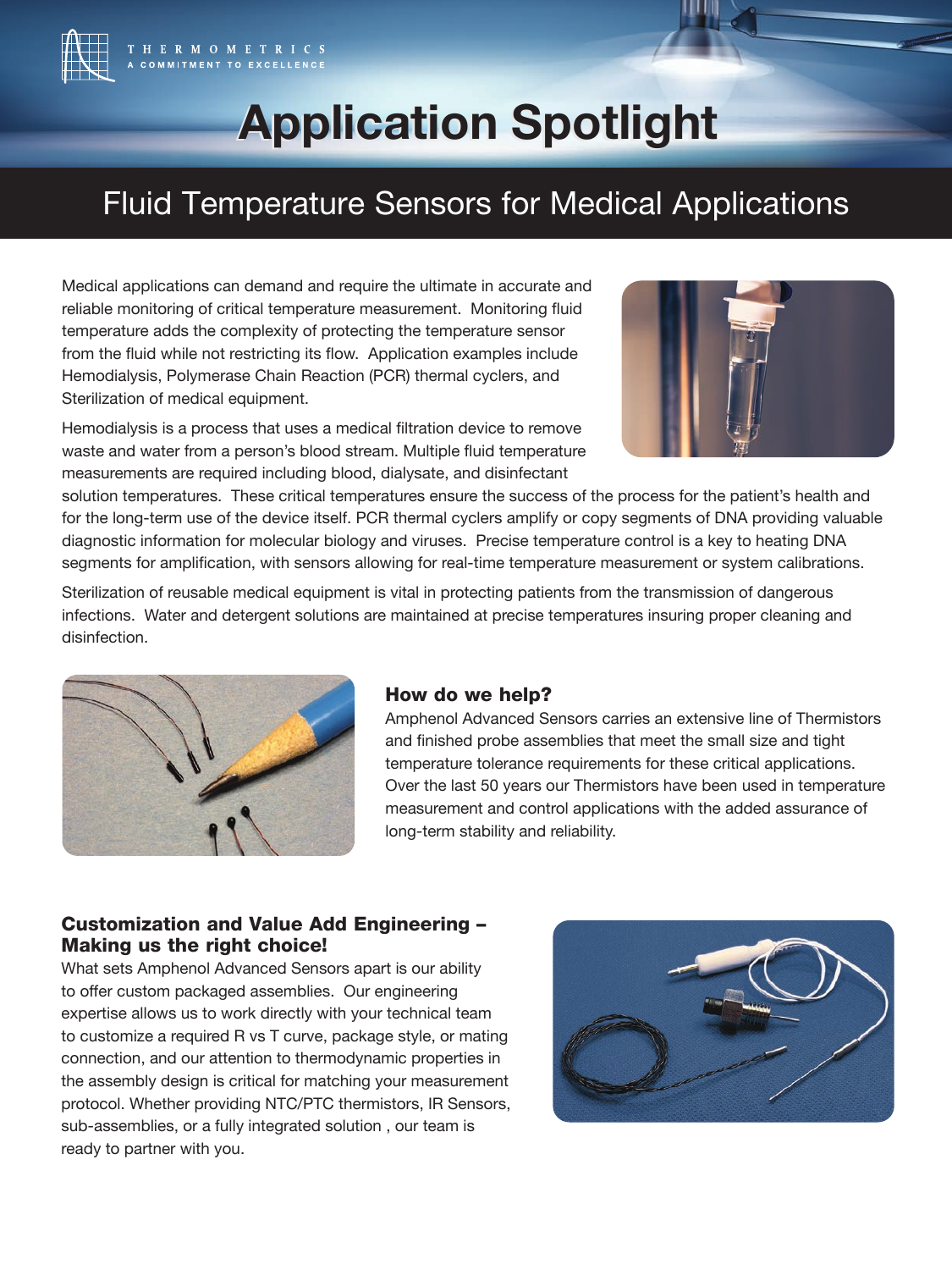

# **Application Spotlight Application Spotlight**

## Fluid Temperature Sensors for Medical Applications

Medical applications can demand and require the ultimate in accurate and reliable monitoring of critical temperature measurement. Monitoring fluid temperature adds the complexity of protecting the temperature sensor from the fluid while not restricting its flow. Application examples include Hemodialysis, Polymerase Chain Reaction (PCR) thermal cyclers, and Sterilization of medical equipment.

Hemodialysis is a process that uses a medical filtration device to remove waste and water from a person's blood stream. Multiple fluid temperature measurements are required including blood, dialysate, and disinfectant



solution temperatures. These critical temperatures ensure the success of the process for the patient's health and for the long-term use of the device itself. PCR thermal cyclers amplify or copy segments of DNA providing valuable diagnostic information for molecular biology and viruses. Precise temperature control is a key to heating DNA segments for amplification, with sensors allowing for real-time temperature measurement or system calibrations.

Sterilization of reusable medical equipment is vital in protecting patients from the transmission of dangerous infections. Water and detergent solutions are maintained at precise temperatures insuring proper cleaning and disinfection.



### How do we help?

Amphenol Advanced Sensors carries an extensive line of Thermistors and finished probe assemblies that meet the small size and tight temperature tolerance requirements for these critical applications. Over the last 50 years our Thermistors have been used in temperature measurement and control applications with the added assurance of long-term stability and reliability.

### Customization and Value Add Engineering – Making us the right choice!

What sets Amphenol Advanced Sensors apart is our ability to offer custom packaged assemblies. Our engineering expertise allows us to work directly with your technical team to customize a required R vs T curve, package style, or mating connection, and our attention to thermodynamic properties in the assembly design is critical for matching your measurement protocol. Whether providing NTC/PTC thermistors, IR Sensors, sub-assemblies, or a fully integrated solution , our team is ready to partner with you.